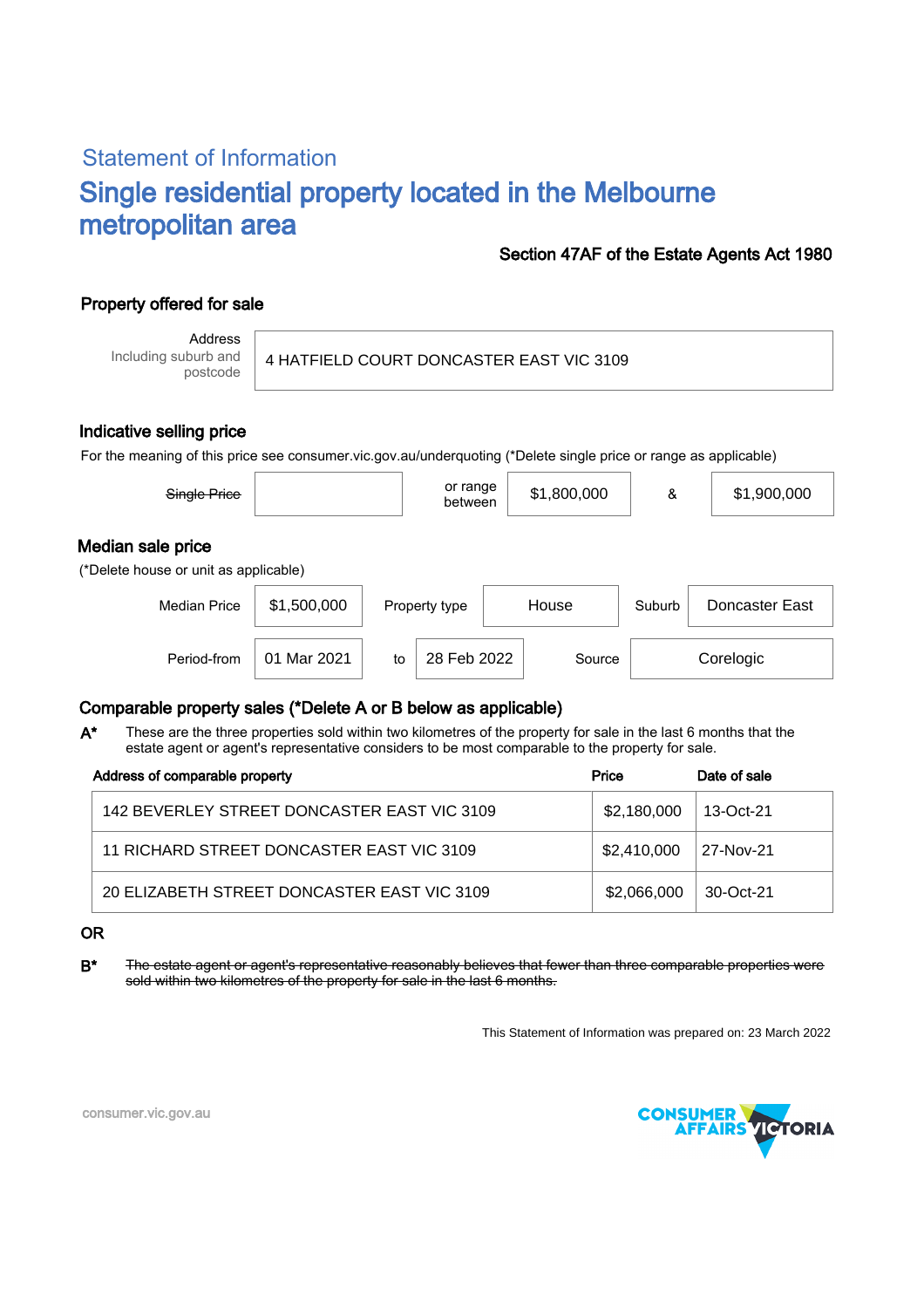# Statement of Information Single residential property located in the Melbourne metropolitan area

#### Section 47AF of the Estate Agents Act 1980

### Property offered for sale

Address Including suburb and postcode

#### 4 HATFIELD COURT DONCASTER EAST VIC 3109

#### Indicative selling price

For the meaning of this price see consumer.vic.gov.au/underquoting (\*Delete single price or range as applicable)

| Single Price                                               |             |    | or range<br>between    |  | \$1,800,000 | &      | \$1,900,000    |  |
|------------------------------------------------------------|-------------|----|------------------------|--|-------------|--------|----------------|--|
| Median sale price<br>(*Delete house or unit as applicable) |             |    |                        |  |             |        |                |  |
| <b>Median Price</b>                                        | \$1,500,000 |    | House<br>Property type |  |             | Suburb | Doncaster East |  |
| Period-from                                                | 01 Mar 2021 | to | 28 Feb 2022            |  | Source      |        | Corelogic      |  |

#### Comparable property sales (\*Delete A or B below as applicable)

These are the three properties sold within two kilometres of the property for sale in the last 6 months that the estate agent or agent's representative considers to be most comparable to the property for sale. A\*

| Address of comparable property              | Price       | Date of sale |
|---------------------------------------------|-------------|--------------|
| 142 BEVERLEY STREET DONCASTER EAST VIC 3109 | \$2,180,000 | 13-Oct-21    |
| 11 RICHARD STREET DONCASTER EAST VIC 3109   | \$2,410,000 | 27-Nov-21    |
| 20 ELIZABETH STREET DONCASTER EAST VIC 3109 | \$2,066,000 | $30-Ort-21$  |

#### OR

B<sup>\*</sup> The estate agent or agent's representative reasonably believes that fewer than three comparable properties were sold within two kilometres of the property for sale in the last 6 months.

This Statement of Information was prepared on: 23 March 2022



consumer.vic.gov.au